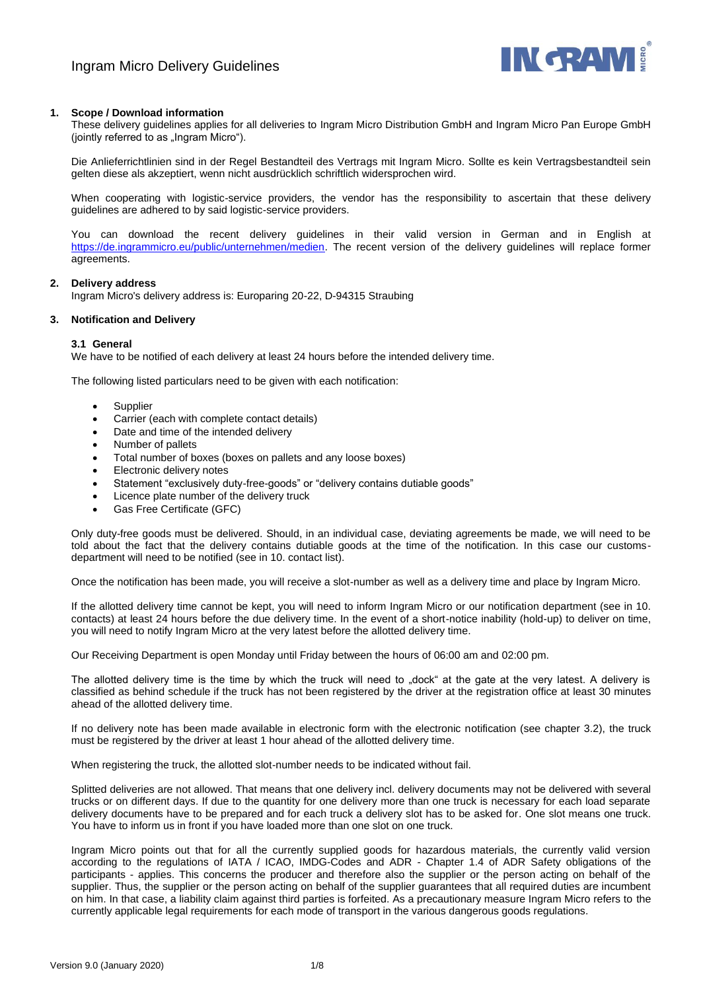

# **1. Scope / Download information**

These delivery guidelines applies for all deliveries to Ingram Micro Distribution GmbH and Ingram Micro Pan Europe GmbH (jointly referred to as "Ingram Micro").

Die Anlieferrichtlinien sind in der Regel Bestandteil des Vertrags mit Ingram Micro. Sollte es kein Vertragsbestandteil sein gelten diese als akzeptiert, wenn nicht ausdrücklich schriftlich widersprochen wird.

When cooperating with logistic-service providers, the vendor has the responsibility to ascertain that these delivery guidelines are adhered to by said logistic-service providers.

You can download the recent delivery guidelines in their valid version in German and in English at [https://de.ingrammicro.eu/public/unternehmen/medien.](https://de.ingrammicro.eu/public/unternehmen/medien) The recent version of the delivery guidelines will replace former agreements.

## **2. Delivery address**

Ingram Micro's delivery address is: Europaring 20-22, D-94315 Straubing

# **3. Notification and Delivery**

# **3.1 General**

We have to be notified of each delivery at least 24 hours before the intended delivery time.

The following listed particulars need to be given with each notification:

- **Supplier**
- Carrier (each with complete contact details)
- Date and time of the intended delivery
- Number of pallets
- Total number of boxes (boxes on pallets and any loose boxes)
- Electronic delivery notes
- Statement "exclusively duty-free-goods" or "delivery contains dutiable goods"
- Licence plate number of the delivery truck
- Gas Free Certificate (GFC)

Only duty-free goods must be delivered. Should, in an individual case, deviating agreements be made, we will need to be told about the fact that the delivery contains dutiable goods at the time of the notification. In this case our customsdepartment will need to be notified (see in 10. contact list).

Once the notification has been made, you will receive a slot-number as well as a delivery time and place by Ingram Micro.

If the allotted delivery time cannot be kept, you will need to inform Ingram Micro or our notification department (see in 10. contacts) at least 24 hours before the due delivery time. In the event of a short-notice inability (hold-up) to deliver on time, you will need to notify Ingram Micro at the very latest before the allotted delivery time.

Our Receiving Department is open Monday until Friday between the hours of 06:00 am and 02:00 pm.

The allotted delivery time is the time by which the truck will need to "dock" at the gate at the very latest. A delivery is classified as behind schedule if the truck has not been registered by the driver at the registration office at least 30 minutes ahead of the allotted delivery time.

If no delivery note has been made available in electronic form with the electronic notification (see chapter 3.2), the truck must be registered by the driver at least 1 hour ahead of the allotted delivery time.

When registering the truck, the allotted slot-number needs to be indicated without fail.

Splitted deliveries are not allowed. That means that one delivery incl. delivery documents may not be delivered with several trucks or on different days. If due to the quantity for one delivery more than one truck is necessary for each load separate delivery documents have to be prepared and for each truck a delivery slot has to be asked for. One slot means one truck. You have to inform us in front if you have loaded more than one slot on one truck.

Ingram Micro points out that for all the currently supplied goods for hazardous materials, the currently valid version according to the regulations of IATA / ICAO, IMDG-Codes and ADR - Chapter 1.4 of ADR Safety obligations of the participants - applies. This concerns the producer and therefore also the supplier or the person acting on behalf of the supplier. Thus, the supplier or the person acting on behalf of the supplier guarantees that all required duties are incumbent on him. In that case, a liability claim against third parties is forfeited. As a precautionary measure Ingram Micro refers to the currently applicable legal requirements for each mode of transport in the various dangerous goods regulations.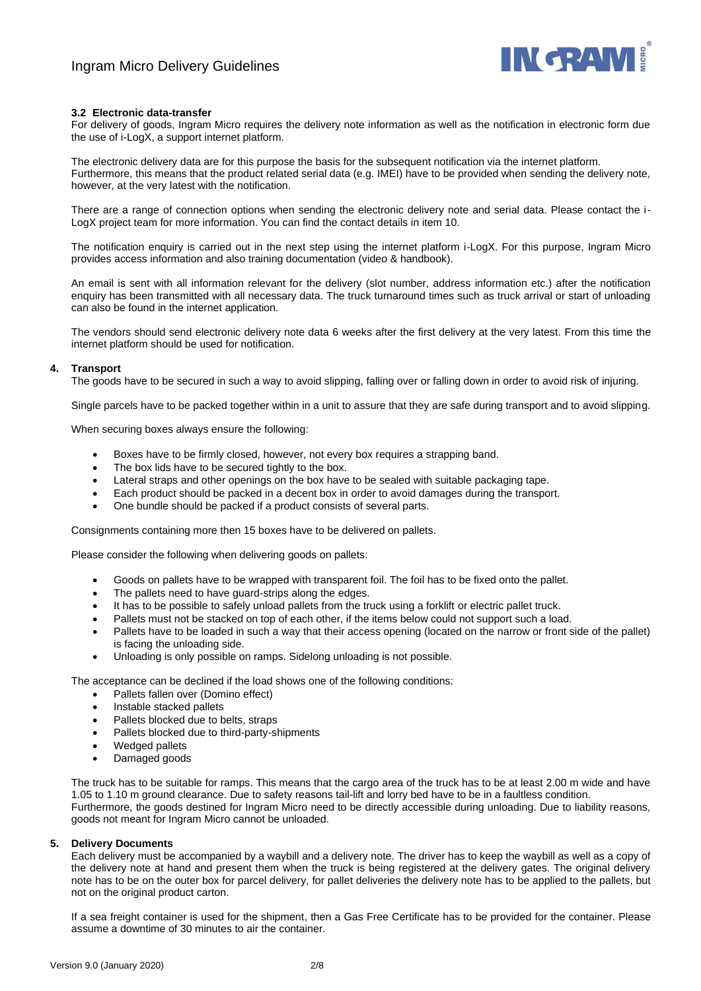

# **3.2 Electronic data-transfer**

For delivery of goods, Ingram Micro requires the delivery note information as well as the notification in electronic form due the use of i-LogX, a support internet platform.

The electronic delivery data are for this purpose the basis for the subsequent notification via the internet platform. Furthermore, this means that the product related serial data (e.g. IMEI) have to be provided when sending the delivery note, however, at the very latest with the notification.

There are a range of connection options when sending the electronic delivery note and serial data. Please contact the i-LogX project team for more information. You can find the contact details in item 10.

The notification enquiry is carried out in the next step using the internet platform i-LogX. For this purpose, Ingram Micro provides access information and also training documentation (video & handbook).

An email is sent with all information relevant for the delivery (slot number, address information etc.) after the notification enquiry has been transmitted with all necessary data. The truck turnaround times such as truck arrival or start of unloading can also be found in the internet application.

The vendors should send electronic delivery note data 6 weeks after the first delivery at the very latest. From this time the internet platform should be used for notification.

# **4. Transport**

The goods have to be secured in such a way to avoid slipping, falling over or falling down in order to avoid risk of injuring.

Single parcels have to be packed together within in a unit to assure that they are safe during transport and to avoid slipping.

When securing boxes always ensure the following:

- Boxes have to be firmly closed, however, not every box requires a strapping band.
- The box lids have to be secured tightly to the box.
- Lateral straps and other openings on the box have to be sealed with suitable packaging tape.
- Each product should be packed in a decent box in order to avoid damages during the transport.
- One bundle should be packed if a product consists of several parts.

Consignments containing more then 15 boxes have to be delivered on pallets.

Please consider the following when delivering goods on pallets:

- Goods on pallets have to be wrapped with transparent foil. The foil has to be fixed onto the pallet.
- The pallets need to have guard-strips along the edges.
- It has to be possible to safely unload pallets from the truck using a forklift or electric pallet truck.
- Pallets must not be stacked on top of each other, if the items below could not support such a load.
- Pallets have to be loaded in such a way that their access opening (located on the narrow or front side of the pallet) is facing the unloading side.
- Unloading is only possible on ramps. Sidelong unloading is not possible.

The acceptance can be declined if the load shows one of the following conditions:

- Pallets fallen over (Domino effect)
- Instable stacked pallets
- Pallets blocked due to belts, straps
- Pallets blocked due to third-party-shipments
- Wedged pallets
- Damaged goods

The truck has to be suitable for ramps. This means that the cargo area of the truck has to be at least 2.00 m wide and have 1.05 to 1.10 m ground clearance. Due to safety reasons tail-lift and lorry bed have to be in a faultless condition. Furthermore, the goods destined for Ingram Micro need to be directly accessible during unloading. Due to liability reasons, goods not meant for Ingram Micro cannot be unloaded.

## **5. Delivery Documents**

Each delivery must be accompanied by a waybill and a delivery note. The driver has to keep the waybill as well as a copy of the delivery note at hand and present them when the truck is being registered at the delivery gates. The original delivery note has to be on the outer box for parcel delivery, for pallet deliveries the delivery note has to be applied to the pallets, but not on the original product carton.

If a sea freight container is used for the shipment, then a Gas Free Certificate has to be provided for the container. Please assume a downtime of 30 minutes to air the container.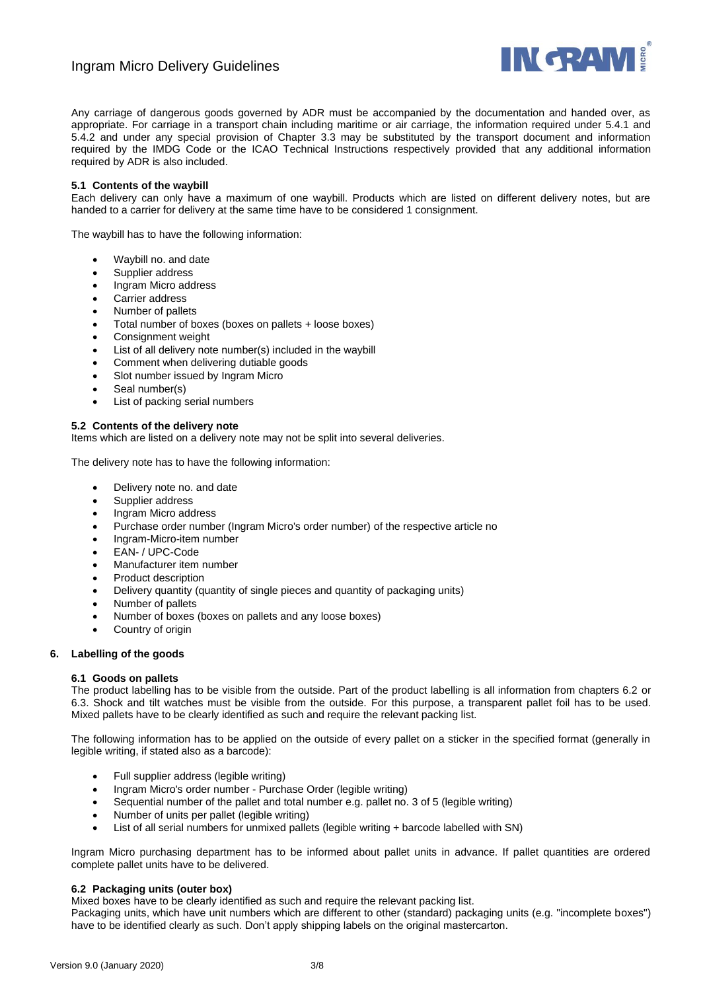

# Ingram Micro Delivery Guidelines

Any carriage of dangerous goods governed by ADR must be accompanied by the documentation and handed over, as appropriate. For carriage in a transport chain including maritime or air carriage, the information required under 5.4.1 and 5.4.2 and under any special provision of Chapter 3.3 may be substituted by the transport document and information required by the IMDG Code or the ICAO Technical Instructions respectively provided that any additional information required by ADR is also included.

# **5.1 Contents of the waybill**

Each delivery can only have a maximum of one waybill. Products which are listed on different delivery notes, but are handed to a carrier for delivery at the same time have to be considered 1 consignment.

The waybill has to have the following information:

- Waybill no. and date
- Supplier address
- Ingram Micro address
- Carrier address
- Number of pallets
- Total number of boxes (boxes on pallets + loose boxes)
- Consignment weight
- List of all delivery note number(s) included in the waybill
- Comment when delivering dutiable goods
- Slot number issued by Ingram Micro
- Seal number(s)
- List of packing serial numbers

# **5.2 Contents of the delivery note**

Items which are listed on a delivery note may not be split into several deliveries.

The delivery note has to have the following information:

- Delivery note no. and date
- Supplier address
- Ingram Micro address
- Purchase order number (Ingram Micro's order number) of the respective article no
- Ingram-Micro-item number
- EAN- / UPC-Code
- Manufacturer item number
- Product description
- Delivery quantity (quantity of single pieces and quantity of packaging units)
- Number of pallets
- Number of boxes (boxes on pallets and any loose boxes)
- Country of origin
- **6. Labelling of the goods**

## **6.1 Goods on pallets**

The product labelling has to be visible from the outside. Part of the product labelling is all information from chapters 6.2 or 6.3. Shock and tilt watches must be visible from the outside. For this purpose, a transparent pallet foil has to be used. Mixed pallets have to be clearly identified as such and require the relevant packing list.

The following information has to be applied on the outside of every pallet on a sticker in the specified format (generally in legible writing, if stated also as a barcode):

- Full supplier address (legible writing)
- Ingram Micro's order number Purchase Order (legible writing)
- Sequential number of the pallet and total number e.g. pallet no. 3 of 5 (legible writing)
- Number of units per pallet (legible writing)
- List of all serial numbers for unmixed pallets (legible writing + barcode labelled with SN)

Ingram Micro purchasing department has to be informed about pallet units in advance. If pallet quantities are ordered complete pallet units have to be delivered.

## **6.2 Packaging units (outer box)**

Mixed boxes have to be clearly identified as such and require the relevant packing list.

Packaging units, which have unit numbers which are different to other (standard) packaging units (e.g. "incomplete boxes") have to be identified clearly as such. Don't apply shipping labels on the original mastercarton.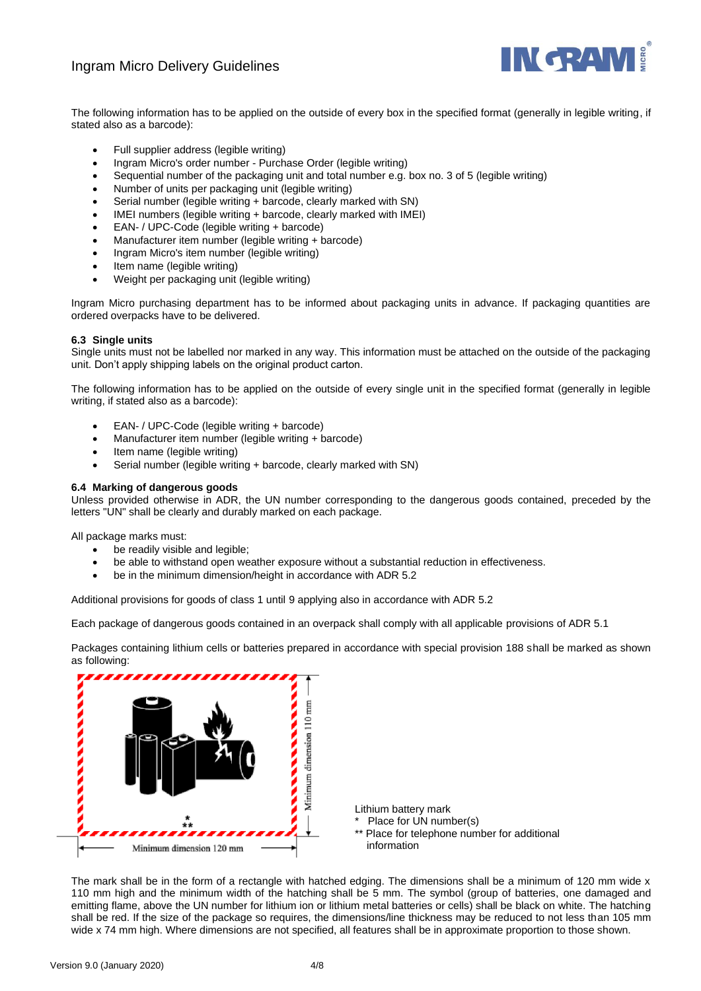# Ingram Micro Delivery Guidelines



The following information has to be applied on the outside of every box in the specified format (generally in legible writing, if stated also as a barcode):

- Full supplier address (legible writing)
- Ingram Micro's order number Purchase Order (legible writing)
- Sequential number of the packaging unit and total number e.g. box no. 3 of 5 (legible writing)
- Number of units per packaging unit (legible writing)
- Serial number (legible writing + barcode, clearly marked with SN)
- IMEI numbers (legible writing + barcode, clearly marked with IMEI)
- EAN- / UPC-Code (legible writing + barcode)
- Manufacturer item number (legible writing + barcode)
- Ingram Micro's item number (legible writing)
- Item name (legible writing)
- Weight per packaging unit (legible writing)

Ingram Micro purchasing department has to be informed about packaging units in advance. If packaging quantities are ordered overpacks have to be delivered.

# **6.3 Single units**

Single units must not be labelled nor marked in any way. This information must be attached on the outside of the packaging unit. Don't apply shipping labels on the original product carton.

The following information has to be applied on the outside of every single unit in the specified format (generally in legible writing, if stated also as a barcode):

- EAN- / UPC-Code (legible writing + barcode)
- Manufacturer item number (legible writing + barcode)
- Item name (legible writing)
- Serial number (legible writing + barcode, clearly marked with SN)

# **6.4 Marking of dangerous goods**

Unless provided otherwise in ADR, the UN number corresponding to the dangerous goods contained, preceded by the letters "UN" shall be clearly and durably marked on each package.

All package marks must:

- be readily visible and legible;
- be able to withstand open weather exposure without a substantial reduction in effectiveness.
- be in the minimum dimension/height in accordance with ADR 5.2

Additional provisions for goods of class 1 until 9 applying also in accordance with ADR 5.2

Each package of dangerous goods contained in an overpack shall comply with all applicable provisions of ADR 5.1

Packages containing lithium cells or batteries prepared in accordance with special provision 188 shall be marked as shown as following:



The mark shall be in the form of a rectangle with hatched edging. The dimensions shall be a minimum of 120 mm wide x 110 mm high and the minimum width of the hatching shall be 5 mm. The symbol (group of batteries, one damaged and emitting flame, above the UN number for lithium ion or lithium metal batteries or cells) shall be black on white. The hatching shall be red. If the size of the package so requires, the dimensions/line thickness may be reduced to not less than 105 mm wide x 74 mm high. Where dimensions are not specified, all features shall be in approximate proportion to those shown.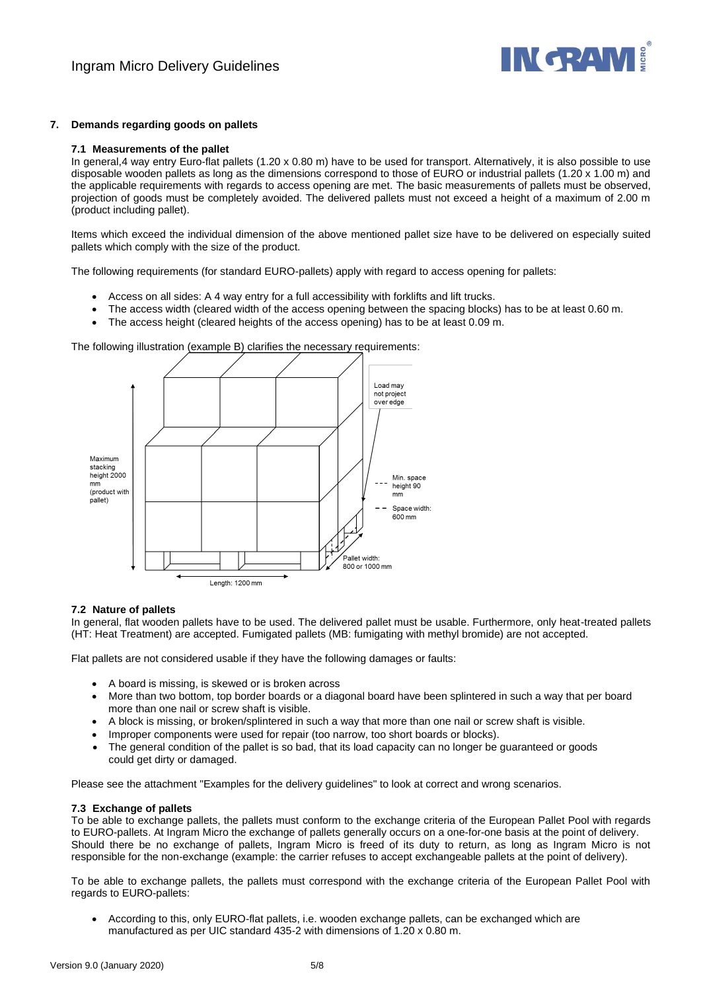

# **7. Demands regarding goods on pallets**

## **7.1 Measurements of the pallet**

In general,4 way entry Euro-flat pallets (1.20 x 0.80 m) have to be used for transport. Alternatively, it is also possible to use disposable wooden pallets as long as the dimensions correspond to those of EURO or industrial pallets (1.20 x 1.00 m) and the applicable requirements with regards to access opening are met. The basic measurements of pallets must be observed, projection of goods must be completely avoided. The delivered pallets must not exceed a height of a maximum of 2.00 m (product including pallet).

Items which exceed the individual dimension of the above mentioned pallet size have to be delivered on especially suited pallets which comply with the size of the product.

The following requirements (for standard EURO-pallets) apply with regard to access opening for pallets:

- Access on all sides: A 4 way entry for a full accessibility with forklifts and lift trucks.
- The access width (cleared width of the access opening between the spacing blocks) has to be at least 0.60 m.
- The access height (cleared heights of the access opening) has to be at least 0.09 m.

The following illustration (example B) clarifies the necessary requirements:



## **7.2 Nature of pallets**

In general, flat wooden pallets have to be used. The delivered pallet must be usable. Furthermore, only heat-treated pallets (HT: Heat Treatment) are accepted. Fumigated pallets (MB: fumigating with methyl bromide) are not accepted.

Flat pallets are not considered usable if they have the following damages or faults:

- A board is missing, is skewed or is broken across
- More than two bottom, top border boards or a diagonal board have been splintered in such a way that per board more than one nail or screw shaft is visible.
- A block is missing, or broken/splintered in such a way that more than one nail or screw shaft is visible.
- Improper components were used for repair (too narrow, too short boards or blocks).
- The general condition of the pallet is so bad, that its load capacity can no longer be guaranteed or goods could get dirty or damaged.

Please see the attachment "Examples for the delivery guidelines" to look at correct and wrong scenarios.

## **7.3 Exchange of pallets**

To be able to exchange pallets, the pallets must conform to the exchange criteria of the European Pallet Pool with regards to EURO-pallets. At Ingram Micro the exchange of pallets generally occurs on a one-for-one basis at the point of delivery. Should there be no exchange of pallets, Ingram Micro is freed of its duty to return, as long as Ingram Micro is not responsible for the non-exchange (example: the carrier refuses to accept exchangeable pallets at the point of delivery).

To be able to exchange pallets, the pallets must correspond with the exchange criteria of the European Pallet Pool with regards to EURO-pallets:

• According to this, only EURO-flat pallets, i.e. wooden exchange pallets, can be exchanged which are manufactured as per UIC standard 435-2 with dimensions of 1.20 x 0.80 m.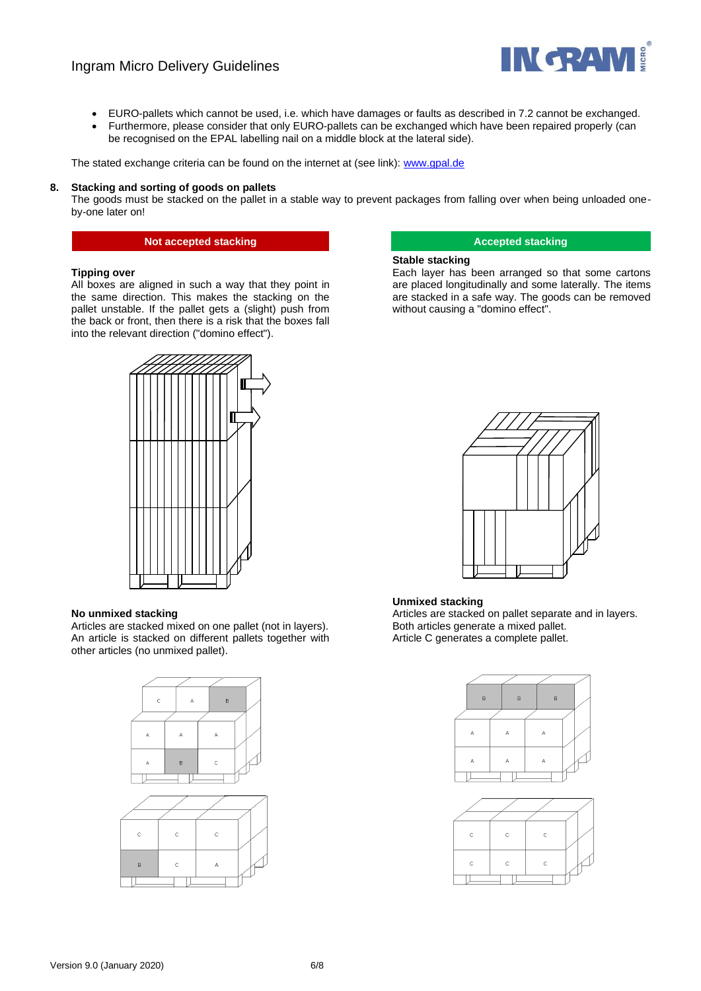# Ingram Micro Delivery Guidelines



- EURO-pallets which cannot be used, i.e. which have damages or faults as described in 7.2 cannot be exchanged.
- Furthermore, please consider that only EURO-pallets can be exchanged which have been repaired properly (can be recognised on the EPAL labelling nail on a middle block at the lateral side).

The stated exchange criteria can be found on the internet at (see link)[: www.gpal.de](http://www.gpal.de/)

## **8. Stacking and sorting of goods on pallets**

The goods must be stacked on the pallet in a stable way to prevent packages from falling over when being unloaded oneby-one later on!

# **Not accepted stacking the stacking stacking stacking and accepted stacking**

### **Tipping over**

All boxes are aligned in such a way that they point in the same direction. This makes the stacking on the pallet unstable. If the pallet gets a (slight) push from the back or front, then there is a risk that the boxes fall into the relevant direction ("domino effect").

### **Stable stacking**

Each layer has been arranged so that some cartons are placed longitudinally and some laterally. The items are stacked in a safe way. The goods can be removed without causing a "domino effect".



## **No unmixed stacking**

Articles are stacked mixed on one pallet (not in layers). An article is stacked on different pallets together with other articles (no unmixed pallet).





# **Unmixed stacking**

Articles are stacked on pallet separate and in layers. Both articles generate a mixed pallet. Article C generates a complete pallet.

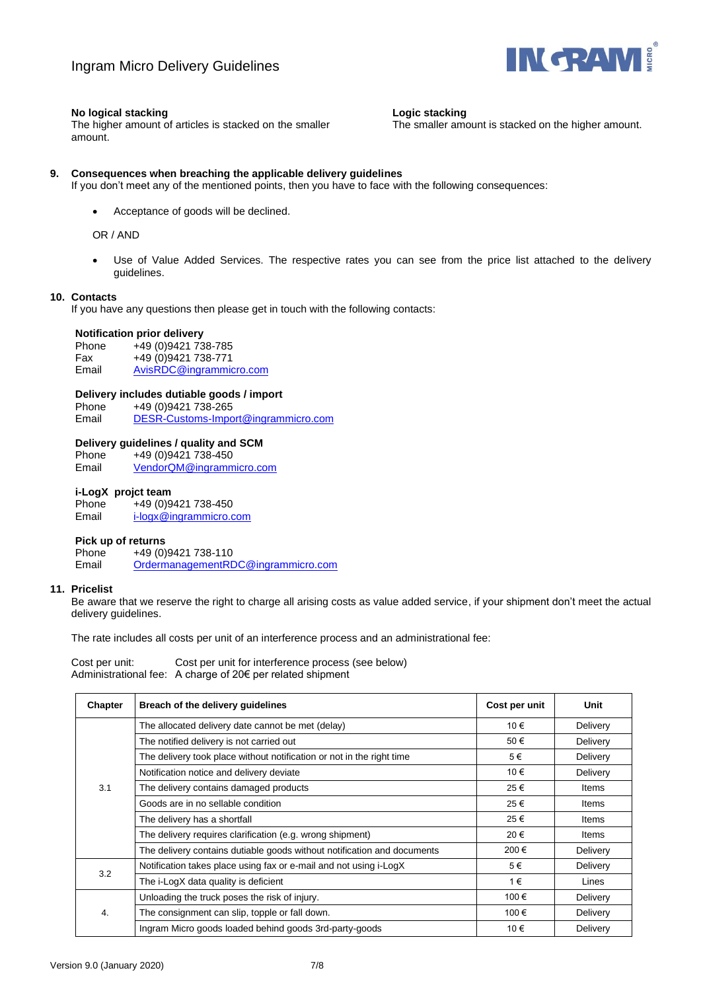

# **No logical stacking**

**Logic stacking**

The smaller amount is stacked on the higher amount.

The higher amount of articles is stacked on the smaller amount.

# **9. Consequences when breaching the applicable delivery guidelines**

If you don't meet any of the mentioned points, then you have to face with the following consequences:

• Acceptance of goods will be declined.

OR / AND

Use of Value Added Services. The respective rates you can see from the price list attached to the delivery guidelines.

## **10. Contacts**

If you have any questions then please get in touch with the following contacts:

### **Notification prior delivery**

Phone +49 (0)9421 738-785<br>Fax +49 (0)9421 738-771 Fax +49 (0)9421 738-771<br>Email AvisRDC@ingrammic [AvisRDC@ingrammicro.com](mailto:AvisRDC@ingrammicro.com)

# **Delivery includes dutiable goods / import**

Phone +49 (0) 9421 738-265 Email [DESR-Customs-Import@ingrammicro.com](mailto:DESR-Customs-Import@ingrammicro.com)

## **Delivery guidelines / quality and SCM**

Phone +49 (0)9421 738-450 Email [VendorQM@ingrammicro.com](mailto:VendorQM@ingrammicro.com)

# **i-LogX projct team**

Phone +49 (0)9421 738-450 Email [i-logx@ingrammicro.com](mailto:i-logx@ingrammicro.com)

## **Pick up of returns**

Phone +49 (0)9421 738-110 Email OrdermanagementRDC@ingrammicro.com

## **11. Pricelist**

Be aware that we reserve the right to charge all arising costs as value added service, if your shipment don't meet the actual delivery guidelines.

The rate includes all costs per unit of an interference process and an administrational fee:

Cost per unit: Cost per unit for interference process (see below) Administrational fee: A charge of 20€ per related shipment

| Chapter | Breach of the delivery guidelines                                       | Cost per unit | Unit     |
|---------|-------------------------------------------------------------------------|---------------|----------|
| 3.1     | The allocated delivery date cannot be met (delay)                       | 10 €          | Delivery |
|         | The notified delivery is not carried out                                | 50€           | Delivery |
|         | The delivery took place without notification or not in the right time   | 5€            | Delivery |
|         | Notification notice and delivery deviate                                | 10 €          | Delivery |
|         | The delivery contains damaged products                                  | 25€           | Items    |
|         | Goods are in no sellable condition                                      | 25€           | Items    |
|         | The delivery has a shortfall                                            | 25€           | Items    |
|         | The delivery requires clarification (e.g. wrong shipment)               | 20€           | Items    |
|         | The delivery contains dutiable goods without notification and documents | 200€          | Delivery |
| 3.2     | Notification takes place using fax or e-mail and not using i-LogX       | 5€            | Delivery |
|         | The i-LogX data quality is deficient                                    | 1€            | Lines    |
| 4.      | Unloading the truck poses the risk of injury.                           | 100€          | Delivery |
|         | The consignment can slip, topple or fall down.                          | 100€          | Delivery |
|         | Ingram Micro goods loaded behind goods 3rd-party-goods                  | 10€           | Delivery |